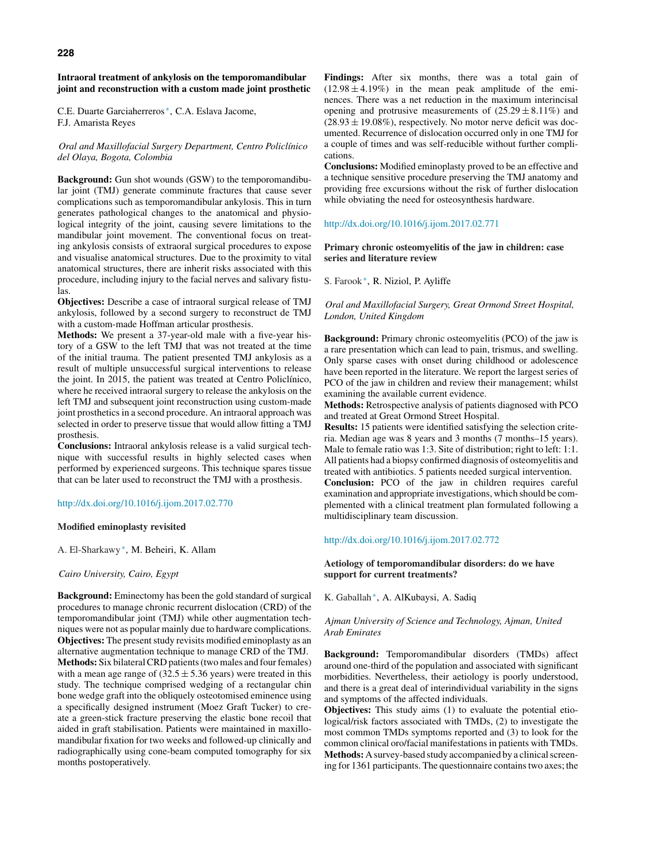## **Intraoral treatment of ankylosis on the temporomandibular joint and reconstruction with a custom made joint prosthetic**

C.E. Duarte Garciaherreros <sup>∗</sup>, C.A. Eslava Jacome, F.J. Amarista Reyes

# *Oral and Maxillofacial Surgery Department, Centro Policlínico del Olaya, Bogota, Colombia*

**Background:** Gun shot wounds (GSW) to the temporomandibular joint (TMJ) generate comminute fractures that cause sever complications such as temporomandibular ankylosis. This in turn generates pathological changes to the anatomical and physiological integrity of the joint, causing severe limitations to the mandibular joint movement. The conventional focus on treating ankylosis consists of extraoral surgical procedures to expose and visualise anatomical structures. Due to the proximity to vital anatomical structures, there are inherit risks associated with this procedure, including injury to the facial nerves and salivary fistulas.

**Objectives:** Describe a case of intraoral surgical release of TMJ ankylosis, followed by a second surgery to reconstruct de TMJ with a custom-made Hoffman articular prosthesis.

**Methods:** We present a 37-year-old male with a five-year history of a GSW to the left TMJ that was not treated at the time of the initial trauma. The patient presented TMJ ankylosis as a result of multiple unsuccessful surgical interventions to release the joint. In 2015, the patient was treated at Centro Policlínico, where he received intraoral surgery to release the ankylosis on the left TMJ and subsequent joint reconstruction using custom-made joint prosthetics in a second procedure. An intraoral approach was selected in order to preserve tissue that would allow fitting a TMJ prosthesis.

**Conclusions:** Intraoral ankylosis release is a valid surgical technique with successful results in highly selected cases when performed by experienced surgeons. This technique spares tissue that can be later used to reconstruct the TMJ with a prosthesis.

#### [http://dx.doi.org/10.1016/j.ijom.2017.02.770](dx.doi.org/10.1016/j.ijom.2017.02.770)

#### **Modified eminoplasty revisited**

A. El-Sharkawy <sup>∗</sup>, M. Beheiri, K. Allam

#### *Cairo University, Cairo, Egypt*

**Background:** Eminectomy has been the gold standard of surgical procedures to manage chronic recurrent dislocation (CRD) of the temporomandibular joint (TMJ) while other augmentation techniques were not as popular mainly due to hardware complications. **Objectives:** The present study revisits modified eminoplasty as an alternative augmentation technique to manage CRD of the TMJ. **Methods:** Six bilateral CRD patients (two males and four females) with a mean age range of  $(32.5 \pm 5.36 \text{ years})$  were treated in this study. The technique comprised wedging of a rectangular chin bone wedge graft into the obliquely osteotomised eminence using a specifically designed instrument (Moez Graft Tucker) to create a green-stick fracture preserving the elastic bone recoil that aided in graft stabilisation. Patients were maintained in maxillomandibular fixation for two weeks and followed-up clinically and radiographically using cone-beam computed tomography for six months postoperatively.

**Findings:** After six months, there was a total gain of  $(12.98 \pm 4.19\%)$  in the mean peak amplitude of the eminences. There was a net reduction in the maximum interincisal opening and protrusive measurements of  $(25.29 \pm 8.11\%)$  and  $(28.93 \pm 19.08\%)$ , respectively. No motor nerve deficit was documented. Recurrence of dislocation occurred only in one TMJ for a couple of times and was self-reducible without further complications.

**Conclusions:** Modified eminoplasty proved to be an effective and a technique sensitive procedure preserving the TMJ anatomy and providing free excursions without the risk of further dislocation while obviating the need for osteosynthesis hardware.

## [http://dx.doi.org/10.1016/j.ijom.2017.02.771](dx.doi.org/10.1016/j.ijom.2017.02.771)

**Primary chronic osteomyelitis of the jaw in children: case series and literature review**

S. Farook <sup>∗</sup>, R. Niziol, P. Ayliffe

#### *Oral and Maxillofacial Surgery, Great Ormond Street Hospital, London, United Kingdom*

**Background:** Primary chronic osteomyelitis (PCO) of the jaw is a rare presentation which can lead to pain, trismus, and swelling. Only sparse cases with onset during childhood or adolescence have been reported in the literature. We report the largest series of PCO of the jaw in children and review their management; whilst examining the available current evidence.

**Methods:** Retrospective analysis of patients diagnosed with PCO and treated at Great Ormond Street Hospital.

**Results:** 15 patients were identified satisfying the selection criteria. Median age was 8 years and 3 months (7 months–15 years). Male to female ratio was 1:3. Site of distribution; right to left: 1:1. All patients had a biopsy confirmed diagnosis of osteomyelitis and treated with antibiotics. 5 patients needed surgical intervention.

**Conclusion:** PCO of the jaw in children requires careful examination and appropriate investigations, which should be complemented with a clinical treatment plan formulated following a multidisciplinary team discussion.

# [http://dx.doi.org/10.1016/j.ijom.2017.02.772](dx.doi.org/10.1016/j.ijom.2017.02.772)

# **Aetiology of temporomandibular disorders: do we have support for current treatments?**

K. Gaballah <sup>∗</sup>, A. AlKubaysi, A. Sadiq

### *Ajman University of Science and Technology, Ajman, United Arab Emirates*

**Background:** Temporomandibular disorders (TMDs) affect around one-third of the population and associated with significant morbidities. Nevertheless, their aetiology is poorly understood, and there is a great deal of interindividual variability in the signs and symptoms of the affected individuals.

**Objectives:** This study aims (1) to evaluate the potential etiological/risk factors associated with TMDs, (2) to investigate the most common TMDs symptoms reported and (3) to look for the common clinical oro/facial manifestations in patients with TMDs. **Methods:** A survey-based study accompanied by a clinical screening for 1361 participants. The questionnaire contains two axes; the